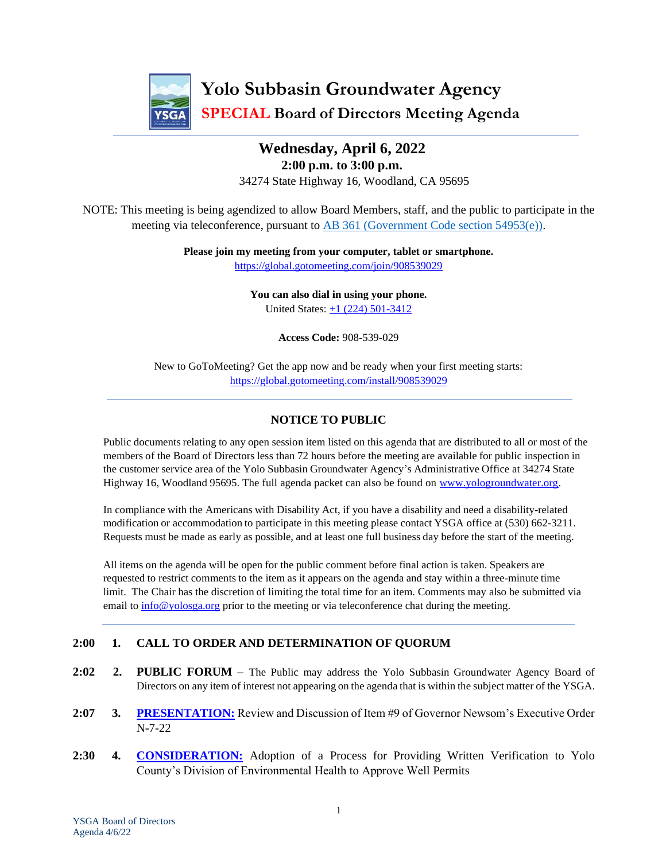

# **Yolo Subbasin Groundwater Agency SPECIAL Board of Directors Meeting Agenda**

### **Wednesday, April 6, 2022 2:00 p.m. to 3:00 p.m.** 34274 State Highway 16, Woodland, CA 95695

NOTE: This meeting is being agendized to allow Board Members, staff, and the public to participate in the meeting via teleconference, pursuant to [AB 361 \(Government Code section 54953\(e\)\).](https://leginfo.legislature.ca.gov/faces/billTextClient.xhtml?bill_id=202120220AB361)

> **Please join my meeting from your computer, tablet or smartphone.**  <https://global.gotomeeting.com/join/908539029>

> > **You can also dial in using your phone.** United States:  $\pm 1$  (224) 501-3412

> > > **Access Code:** 908-539-029

New to GoToMeeting? Get the app now and be ready when your first meeting starts: <https://global.gotomeeting.com/install/908539029>

### **NOTICE TO PUBLIC**

Public documents relating to any open session item listed on this agenda that are distributed to all or most of the members of the Board of Directors less than 72 hours before the meeting are available for public inspection in the customer service area of the Yolo Subbasin Groundwater Agency's Administrative Office at 34274 State Highway 16, Woodland 95695. The full agenda packet can also be found on [www.yologroundwater.org.](https://www.yologroundwater.org/)

In compliance with the Americans with Disability Act, if you have a disability and need a disability-related modification or accommodation to participate in this meeting please contact YSGA office at (530) 662-3211. Requests must be made as early as possible, and at least one full business day before the start of the meeting.

All items on the agenda will be open for the public comment before final action is taken. Speakers are requested to restrict comments to the item as it appears on the agenda and stay within a three-minute time limit. The Chair has the discretion of limiting the total time for an item. Comments may also be submitted via email to [info@yolosga.org](mailto:info@yolosga.org) prior to the meeting or via teleconference chat during the meeting.

### **2:00 1. CALL TO ORDER AND DETERMINATION OF QUORUM**

- **2:02 2. PUBLIC FORUM** The Public may address the Yolo Subbasin Groundwater Agency Board of Directors on any item of interest not appearing on the agenda that is within the subject matter of the YSGA.
- **2:07 3. [PRESENTATION:](#page-2-0)** Review and Discussion of Item #9 of Governor Newsom's Executive Order N-7-22
- **2:30 4. [CONSIDERATION:](#page-4-0)** Adoption of a Process for Providing Written Verification to Yolo County's Division of Environmental Health to Approve Well Permits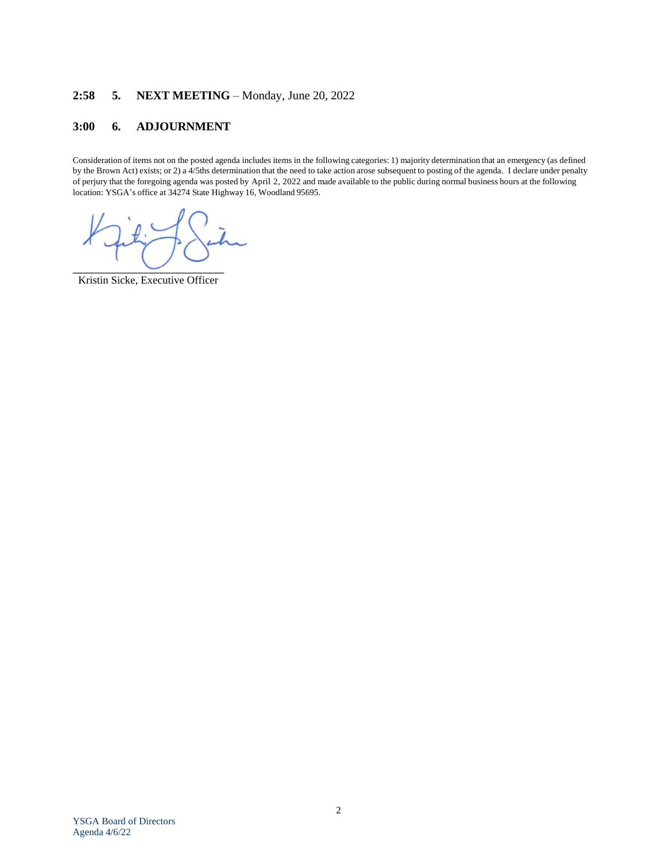### **2:58 5. NEXT MEETING** – Monday, June 20, 2022

### **3:00 6. ADJOURNMENT**

Consideration of items not on the posted agenda includes items in the following categories: 1) majority determination that an emergency (as defined by the Brown Act) exists; or 2) a 4/5ths determination that the need to take action arose subsequent to posting of the agenda. I declare under penalty of perjury that the foregoing agenda was posted by April 2, 2022 and made available to the public during normal business hours at the following location: YSGA's office at 34274 State Highway 16, Woodland 95695.

 $\overline{\phantom{a}}$ 

Kristin Sicke, Executive Officer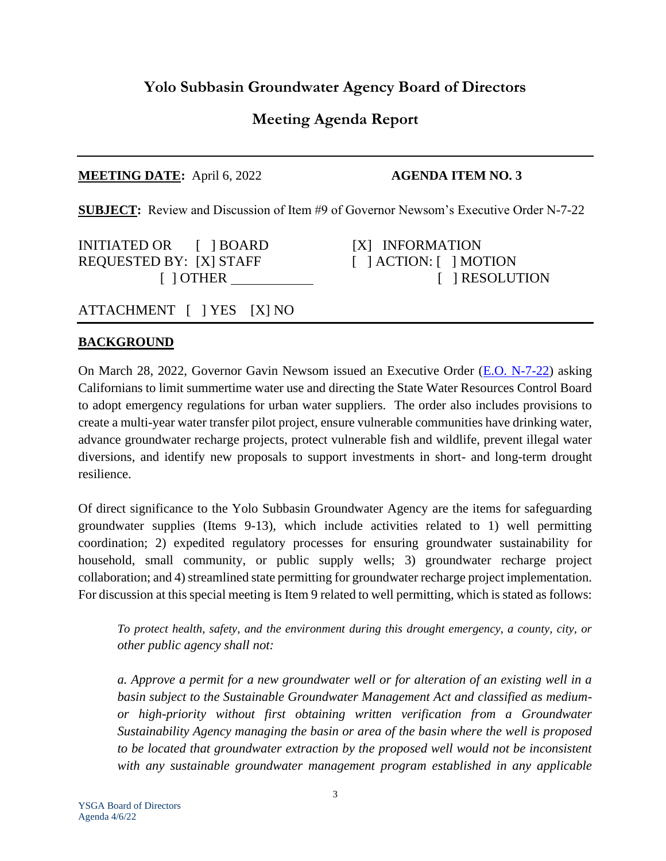## **Yolo Subbasin Groundwater Agency Board of Directors**

## **Meeting Agenda Report**

### **MEETING DATE:** April 6, 2022 **AGENDA ITEM NO. 3**

<span id="page-2-0"></span>**SUBJECT:** Review and Discussion of Item #9 of Governor Newsom's Executive Order N-7-22

INITIATED OR [ ] BOARD [X] INFORMATION REQUESTED BY: [X] STAFF [ ] ACTION: [ ] MOTION

[ ] OTHER [ ] RESOLUTION

ATTACHMENT [ ] YES [X] NO

### **BACKGROUND**

On March 28, 2022, Governor Gavin Newsom issued an Executive Order [\(E.O. N-7-22\)](https://www.gov.ca.gov/wp-content/uploads/2022/03/March-2022-Drought-EO.pdf) asking Californians to limit summertime water use and directing the State Water Resources Control Board to adopt emergency regulations for urban water suppliers. The order also includes provisions to create a multi-year water transfer pilot project, ensure vulnerable communities have drinking water, advance groundwater recharge projects, protect vulnerable fish and wildlife, prevent illegal water diversions, and identify new proposals to support investments in short- and long-term drought resilience.

Of direct significance to the Yolo Subbasin Groundwater Agency are the items for safeguarding groundwater supplies (Items 9-13), which include activities related to 1) well permitting coordination; 2) expedited regulatory processes for ensuring groundwater sustainability for household, small community, or public supply wells; 3) groundwater recharge project collaboration; and 4) streamlined state permitting for groundwater recharge project implementation. For discussion at this special meeting is Item 9 related to well permitting, which is stated as follows:

*To protect health, safety, and the environment during this drought emergency, a county, city, or other public agency shall not:* 

*a. Approve a permit for a new groundwater well or for alteration of an existing well in a basin subject to the Sustainable Groundwater Management Act and classified as mediumor high-priority without first obtaining written verification from a Groundwater Sustainability Agency managing the basin or area of the basin where the well is proposed to be located that groundwater extraction by the proposed well would not be inconsistent with any sustainable groundwater management program established in any applicable*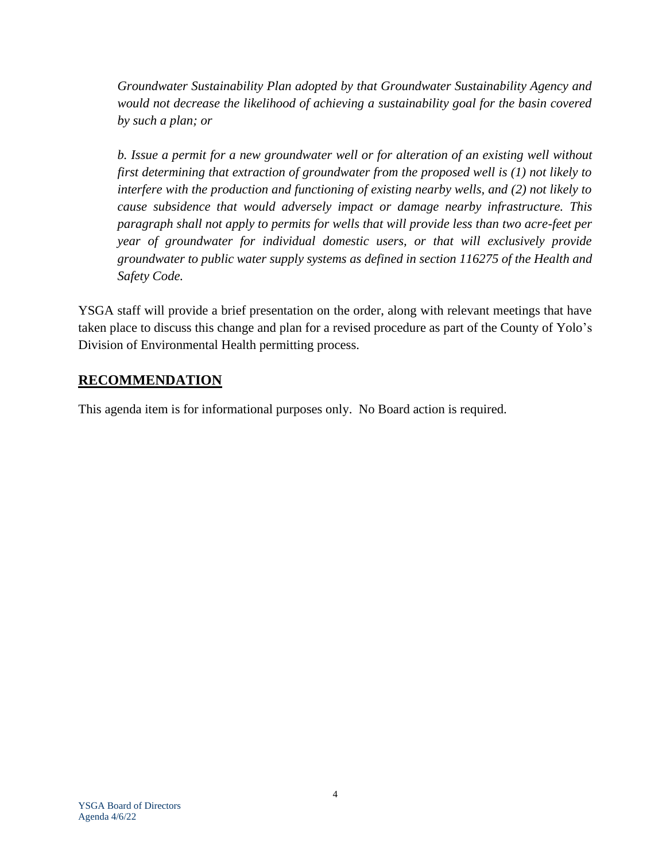*Groundwater Sustainability Plan adopted by that Groundwater Sustainability Agency and would not decrease the likelihood of achieving a sustainability goal for the basin covered by such a plan; or* 

*b. Issue a permit for a new groundwater well or for alteration of an existing well without first determining that extraction of groundwater from the proposed well is (1) not likely to interfere with the production and functioning of existing nearby wells, and (2) not likely to cause subsidence that would adversely impact or damage nearby infrastructure. This paragraph shall not apply to permits for wells that will provide less than two acre-feet per year of groundwater for individual domestic users, or that will exclusively provide groundwater to public water supply systems as defined in section 116275 of the Health and Safety Code.* 

YSGA staff will provide a brief presentation on the order, along with relevant meetings that have taken place to discuss this change and plan for a revised procedure as part of the County of Yolo's Division of Environmental Health permitting process.

### **RECOMMENDATION**

This agenda item is for informational purposes only. No Board action is required.